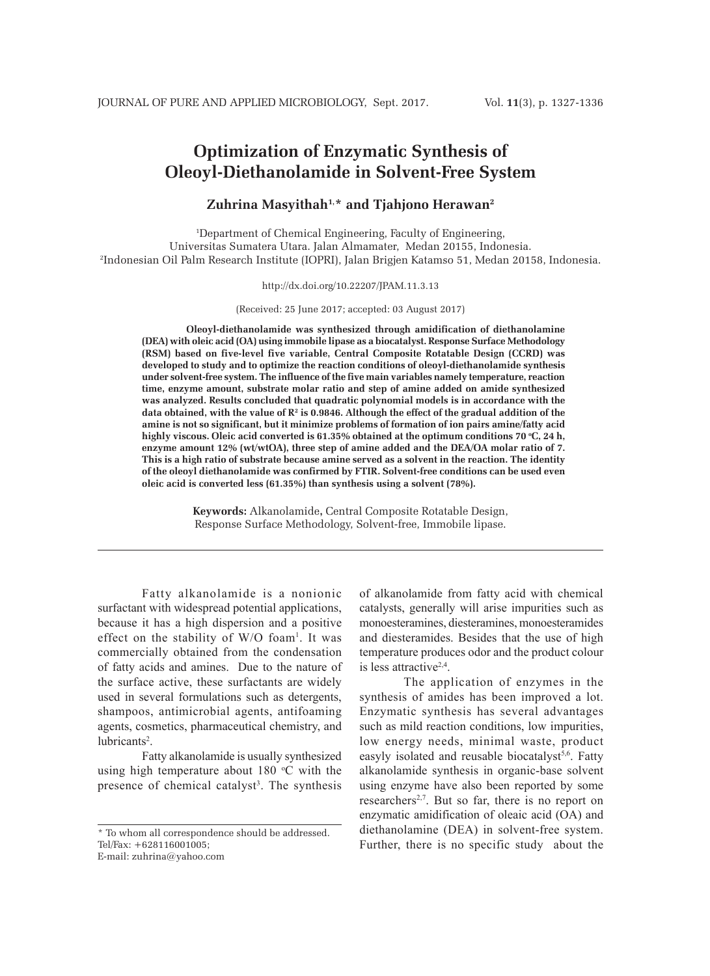# **Optimization of Enzymatic Synthesis of Oleoyl-Diethanolamide in Solvent-Free System**

# **Zuhrina Masyithah1,\* and Tjahjono Herawan2**

1 Department of Chemical Engineering, Faculty of Engineering, Universitas Sumatera Utara. Jalan Almamater, Medan 20155, Indonesia. 2 Indonesian Oil Palm Research Institute (IOPRI), Jalan Brigjen Katamso 51, Medan 20158, Indonesia.

#### http://dx.doi.org/10.22207/JPAM.11.3.13

(Received: 25 June 2017; accepted: 03 August 2017)

**Oleoyl-diethanolamide was synthesized through amidification of diethanolamine (DEA) with oleic acid (OA) using immobile lipase as a biocatalyst. Response Surface Methodology (RSM) based on five-level five variable, Central Composite Rotatable Design (CCRD) was developed to study and to optimize the reaction conditions of oleoyl-diethanolamide synthesis under solvent-free system. The influence of the five main variables namely temperature, reaction time, enzyme amount, substrate molar ratio and step of amine added on amide synthesized was analyzed. Results concluded that quadratic polynomial models is in accordance with the**  data obtained, with the value of R<sup>2</sup> is 0.9846. Although the effect of the gradual addition of the **amine is not so significant, but it minimize problems of formation of ion pairs amine/fatty acid**  highly viscous. Oleic acid converted is 61.35% obtained at the optimum conditions 70 °C, 24 h, **enzyme amount 12% (wt/wtOA), three step of amine added and the DEA/OA molar ratio of 7. This is a high ratio of substrate because amine served as a solvent in the reaction. The identity of the oleoyl diethanolamide was confirmed by FTIR. Solvent-free conditions can be used even oleic acid is converted less (61.35%) than synthesis using a solvent (78%).**

> **Keywords:** Alkanolamide**,** Central Composite Rotatable Design, Response Surface Methodology, Solvent-free, Immobile lipase.

Fatty alkanolamide is a nonionic surfactant with widespread potential applications, because it has a high dispersion and a positive effect on the stability of  $W/O$  foam<sup>1</sup>. It was commercially obtained from the condensation of fatty acids and amines. Due to the nature of the surface active, these surfactants are widely used in several formulations such as detergents, shampoos, antimicrobial agents, antifoaming agents, cosmetics, pharmaceutical chemistry, and lubricants<sup>2</sup>.

Fatty alkanolamide is usually synthesized using high temperature about  $180^{\circ}$ C with the presence of chemical catalyst<sup>3</sup>. The synthesis of alkanolamide from fatty acid with chemical catalysts, generally will arise impurities such as monoesteramines, diesteramines, monoesteramides and diesteramides. Besides that the use of high temperature produces odor and the product colour is less attractive $2,4$ .

The application of enzymes in the synthesis of amides has been improved a lot. Enzymatic synthesis has several advantages such as mild reaction conditions, low impurities, low energy needs, minimal waste, product easyly isolated and reusable biocatalyst<sup>5,6</sup>. Fatty alkanolamide synthesis in organic-base solvent using enzyme have also been reported by some researchers<sup>2,7</sup>. But so far, there is no report on enzymatic amidification of oleaic acid (OA) and diethanolamine (DEA) in solvent-free system. Further, there is no specific study about the

<sup>\*</sup> To whom all correspondence should be addressed. Tel/Fax: +628116001005; E-mail: zuhrina@yahoo.com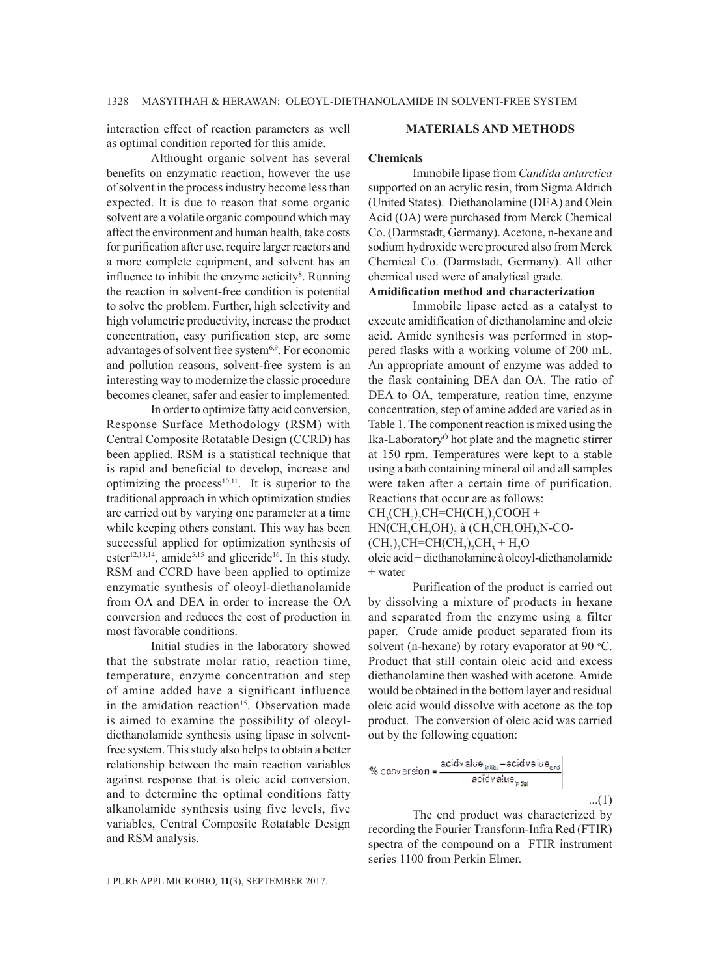interaction effect of reaction parameters as well as optimal condition reported for this amide.

### **MATERIALS AND METHODS**

Althought organic solvent has several benefits on enzymatic reaction, however the use of solvent in the process industry become less than expected. It is due to reason that some organic solvent are a volatile organic compound which may affect the environment and human health, take costs for purification after use, require larger reactors and a more complete equipment, and solvent has an influence to inhibit the enzyme acticity<sup>8</sup>. Running the reaction in solvent-free condition is potential to solve the problem. Further, high selectivity and high volumetric productivity, increase the product concentration, easy purification step, are some advantages of solvent free system<sup>6,9</sup>. For economic and pollution reasons, solvent-free system is an interesting way to modernize the classic procedure becomes cleaner, safer and easier to implemented.

In order to optimize fatty acid conversion, Response Surface Methodology (RSM) with Central Composite Rotatable Design (CCRD) has been applied. RSM is a statistical technique that is rapid and beneficial to develop, increase and optimizing the process $10,11$ . It is superior to the traditional approach in which optimization studies are carried out by varying one parameter at a time while keeping others constant. This way has been successful applied for optimization synthesis of ester<sup>12,13,14</sup>, amide<sup>5,15</sup> and gliceride<sup>16</sup>. In this study, RSM and CCRD have been applied to optimize enzymatic synthesis of oleoyl-diethanolamide from OA and DEA in order to increase the OA conversion and reduces the cost of production in most favorable conditions.

Initial studies in the laboratory showed that the substrate molar ratio, reaction time, temperature, enzyme concentration and step of amine added have a significant influence in the amidation reaction<sup>15</sup>. Observation made is aimed to examine the possibility of oleoyldiethanolamide synthesis using lipase in solventfree system. This study also helps to obtain a better relationship between the main reaction variables against response that is oleic acid conversion, and to determine the optimal conditions fatty alkanolamide synthesis using five levels, five variables, Central Composite Rotatable Design and RSM analysis.

#### J PURE APPL MICROBIO*,* **11**(3), SEPTEMBER 2017.

#### **Chemicals**

Immobile lipase from *Candida antarctica* supported on an acrylic resin, from Sigma Aldrich (United States). Diethanolamine (DEA) and Olein Acid (OA) were purchased from Merck Chemical Co. (Darmstadt, Germany). Acetone, n-hexane and sodium hydroxide were procured also from Merck Chemical Co. (Darmstadt, Germany). All other chemical used were of analytical grade.

# **Amidification method and characterization**

Immobile lipase acted as a catalyst to execute amidification of diethanolamine and oleic acid. Amide synthesis was performed in stoppered flasks with a working volume of 200 mL. An appropriate amount of enzyme was added to the flask containing DEA dan OA. The ratio of DEA to OA, temperature, reation time, enzyme concentration, step of amine added are varied as in Table 1. The component reaction is mixed using the Ika-LaboratoryÒ hot plate and the magnetic stirrer at 150 rpm. Temperatures were kept to a stable using a bath containing mineral oil and all samples were taken after a certain time of purification. Reactions that occur are as follows:

 $CH<sub>3</sub>(CH<sub>2</sub>)<sub>7</sub>CH=CH(CH<sub>2</sub>)<sub>7</sub>COOH +$ 

 $HN(CH_2CH_2OH)_2$  à  $(CH_2CH_2OH)_2N$ -CO-

$$
(\text{CH}_2)_7\text{CH}=\text{CH}(\text{CH}_2)_7\text{CH}_3 + \text{H}_2\text{O}
$$

oleic acid + diethanolamine à oleoyl-diethanolamide + water

Purification of the product is carried out by dissolving a mixture of products in hexane and separated from the enzyme using a filter paper. Crude amide product separated from its solvent (n-hexane) by rotary evaporator at  $90^{\circ}$ C. Product that still contain oleic acid and excess diethanolamine then washed with acetone. Amide would be obtained in the bottom layer and residual oleic acid would dissolve with acetone as the top product. The conversion of oleic acid was carried out by the following equation:

% conversion = 
$$
\frac{\text{accidvalue}_{\text{max}} - \text{accidvalue}_{\text{max}}}{\text{accidvalue}_{\text{max}}}
$$
...(1)

The end product was characterized by recording the Fourier Transform-Infra Red (FTIR) spectra of the compound on a FTIR instrument series 1100 from Perkin Elmer.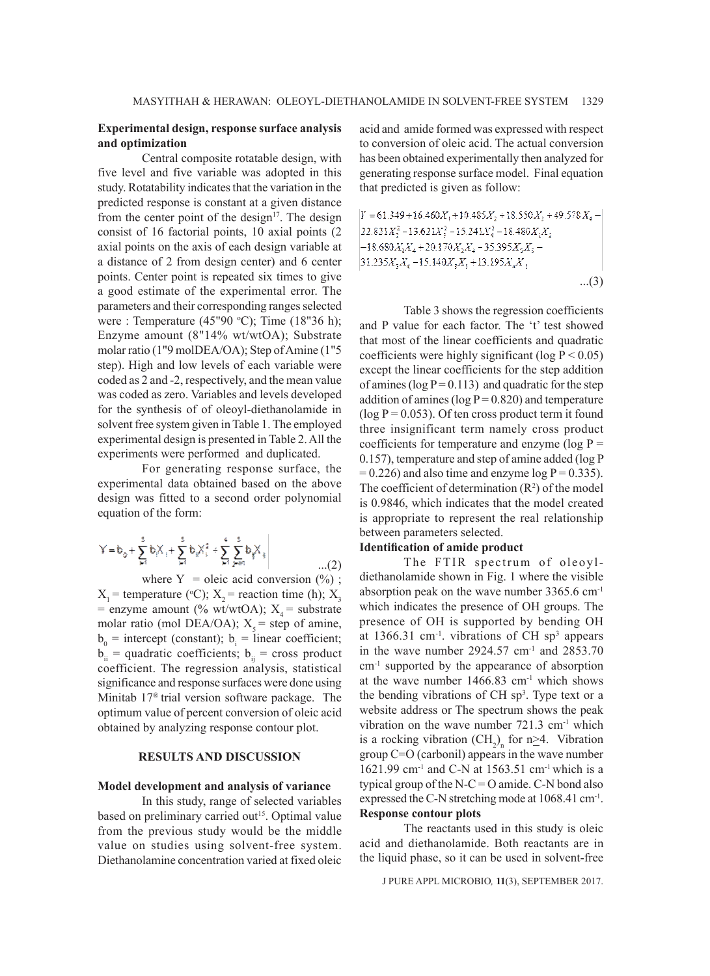### **Experimental design, response surface analysis and optimization**

Central composite rotatable design, with five level and five variable was adopted in this study. Rotatability indicates that the variation in the predicted response is constant at a given distance from the center point of the design $17$ . The design consist of 16 factorial points, 10 axial points (2 axial points on the axis of each design variable at a distance of 2 from design center) and 6 center points. Center point is repeated six times to give a good estimate of the experimental error. The parameters and their corresponding ranges selected were : Temperature  $(45"90 °C)$ ; Time  $(18"36 h)$ ; Enzyme amount (8"14% wt/wtOA); Substrate molar ratio (1"9 molDEA/OA); Step of Amine (1"5 step). High and low levels of each variable were coded as 2 and -2, respectively, and the mean value was coded as zero. Variables and levels developed for the synthesis of of oleoyl-diethanolamide in solvent free system given in Table 1. The employed experimental design is presented in Table 2. All the experiments were performed and duplicated.

For generating response surface, the experimental data obtained based on the above design was fitted to a second order polynomial equation of the form:

$$
Y = b_0 + \sum_{j=1}^5 b_j X_{j} + \sum_{j=1}^5 b_j X_{j}^2 + \sum_{j=1}^4 \sum_{j=1}^5 b_j X_{j} \qquad \qquad \dots (2)
$$

where  $Y =$  oleic acid conversion  $(\%)$ ;  $X_1$  = temperature (°C);  $X_2$  = reaction time (h);  $X_3$ = enzyme amount (% wt/wtOA);  $X_4$  = substrate molar ratio (mol DEA/OA);  $X_s$  = step of amine,  $b_0$  = intercept (constant);  $b_i$  = linear coefficient;  $b_{ii}$  = quadratic coefficients;  $b_{ii}$  = cross product coefficient. The regression analysis, statistical significance and response surfaces were done using Minitab 17® trial version software package. The optimum value of percent conversion of oleic acid obtained by analyzing response contour plot.

## **RESULTS AND DISCUSSION**

#### **Model development and analysis of variance**

In this study, range of selected variables based on preliminary carried out<sup>15</sup>. Optimal value from the previous study would be the middle value on studies using solvent-free system. Diethanolamine concentration varied at fixed oleic acid and amide formed was expressed with respect to conversion of oleic acid. The actual conversion has been obtained experimentally then analyzed for generating response surface model. Final equation that predicted is given as follow:

$$
\begin{aligned} Y &= 61.349 + 16.460 X_1 + 10.485 X_2 + 18.550 X_3 + 49.578 X_4 - \\ & 22.821 X_2^2 - 13.621 X_3^2 - 15.241 X_4^2 - 18.480 X_1 X_2 \\ & - 18.680 X_1 X_4 + 20.170 X_2 X_4 - 35.395 X_2 X_5 - \\ & 31.235 X_3 X_4 - 15.140 X_3 X_5 + 13.195 X_4 X_5 \end{aligned}
$$

...(3)

Table 3 shows the regression coefficients and P value for each factor. The 't' test showed that most of the linear coefficients and quadratic coefficients were highly significant (log  $P < 0.05$ ) except the linear coefficients for the step addition of amines ( $log P = 0.113$ ) and quadratic for the step addition of amines ( $log P = 0.820$ ) and temperature  $(\log P = 0.053)$ . Of ten cross product term it found three insignificant term namely cross product coefficients for temperature and enzyme ( $log P =$ 0.157), temperature and step of amine added (log P  $= 0.226$ ) and also time and enzyme log P = 0.335). The coefficient of determination  $(R^2)$  of the model is 0.9846, which indicates that the model created is appropriate to represent the real relationship between parameters selected.

# **Identification of amide product**

The FTIR spectrum of oleoyldiethanolamide shown in Fig. 1 where the visible absorption peak on the wave number 3365.6 cm-1 which indicates the presence of OH groups. The presence of OH is supported by bending OH at  $1366.31$  cm<sup>-1</sup>. vibrations of CH sp<sup>3</sup> appears in the wave number  $2924.57$  cm<sup>-1</sup> and  $2853.70$ cm<sup>-1</sup> supported by the appearance of absorption at the wave number 1466.83 cm-1 which shows the bending vibrations of CH  $sp<sup>3</sup>$ . Type text or a website address or The spectrum shows the peak vibration on the wave number  $721.3 \text{ cm}^{-1}$  which is a rocking vibration  $\text{CH}_2$ <sub>n</sub> for n $\geq$ 4. Vibration group C=O (carbonil) appears in the wave number 1621.99 cm<sup>-1</sup> and C-N at 1563.51 cm<sup>-1</sup> which is a typical group of the  $N-C = O$  amide. C-N bond also expressed the C-N stretching mode at 1068.41 cm<sup>-1</sup>. **Response contour plots**

The reactants used in this study is oleic acid and diethanolamide. Both reactants are in the liquid phase, so it can be used in solvent-free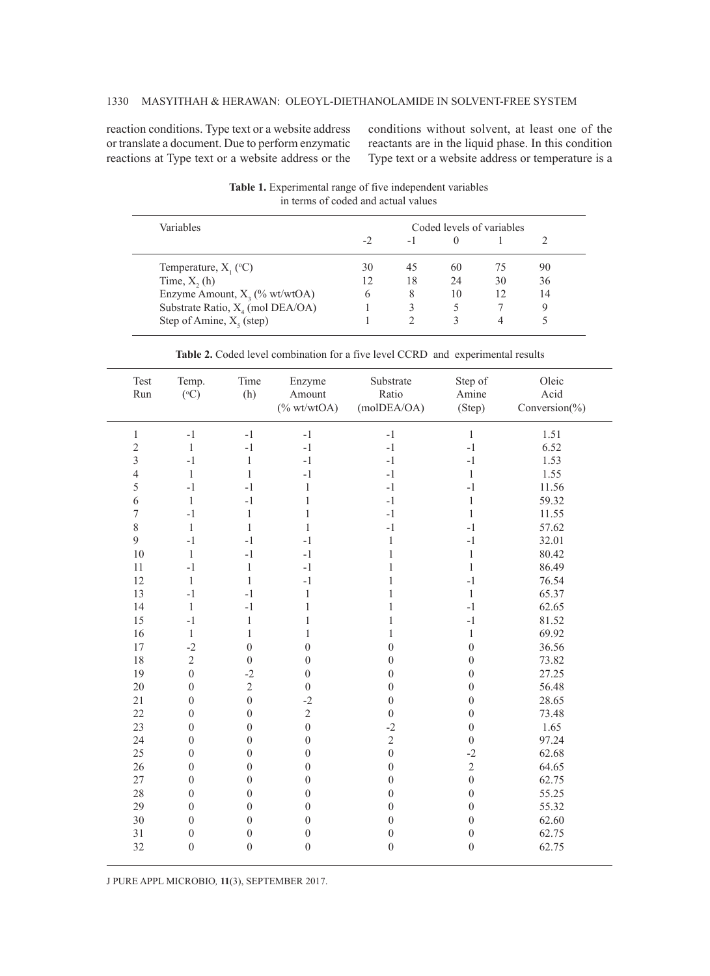reaction conditions. Type text or a website address or translate a document. Due to perform enzymatic reactions at Type text or a website address or the

conditions without solvent, at least one of the reactants are in the liquid phase. In this condition Type text or a website address or temperature is a

| Variables                           | Coded levels of variables |      |          |    |    |  |
|-------------------------------------|---------------------------|------|----------|----|----|--|
|                                     | $-2$                      | $-1$ | $\Omega$ |    |    |  |
| Temperature, $X_1$ (°C)             | 30                        | 45   | 60       | 75 | 90 |  |
| Time, $X$ , (h)                     | 12                        | 18   | 24       | 30 | 36 |  |
| Enzyme Amount, $X_3$ (% wt/wtOA)    | 6                         |      | 10       | 12 | 14 |  |
| Substrate Ratio, $X_4$ (mol DEA/OA) |                           |      |          |    |    |  |
| Step of Amine, $X_5$ (step)         |                           |      |          |    |    |  |

**Table 1.** Experimental range of five independent variables in terms of coded and actual values

|  |  |  |  |  |  |  |  | <b>Table 2.</b> Coded level combination for a five level CCRD and experimental results |
|--|--|--|--|--|--|--|--|----------------------------------------------------------------------------------------|
|--|--|--|--|--|--|--|--|----------------------------------------------------------------------------------------|

| Test<br>Run    | Temp.<br>$(^{\circ}C)$ | Time<br>(h)      | Enzyme<br>Amount<br>$(% \mathcal{L}_{0} \times \mathcal{L}_{0})$ wt/wtOA) | Substrate<br>Ratio<br>(molDEA/OA) | Step of<br>Amine<br>(Step) | Oleic<br>Acid<br>Conversion $(\%)$ |
|----------------|------------------------|------------------|---------------------------------------------------------------------------|-----------------------------------|----------------------------|------------------------------------|
| $\,1$          | $-1$                   | $-1$             | $-1$                                                                      | $-1$                              | 1                          | 1.51                               |
| $\overline{c}$ | $\mathbf{1}$           | $-1$             | $-1$                                                                      | $-1$                              | $-1$                       | 6.52                               |
| 3              | $-1$                   | $\mathbf{1}$     | $-1$                                                                      | $-1$                              | $-1$                       | 1.53                               |
| $\overline{4}$ | $\,1\,$                | $\,1\,$          | $-1$                                                                      | $-1$                              | $\mathbf{1}$               | 1.55                               |
| 5              | $-1$                   | $-1$             | $\,1$                                                                     | $-1$                              | $-1$                       | 11.56                              |
| 6              | $\mathbf{1}$           | $-1$             | $\mathbf{1}$                                                              | $-1$                              | $\mathbf{1}$               | 59.32                              |
| $\overline{7}$ | $-1$                   | 1                | $\mathbf{1}$                                                              | $-1$                              | $\mathbf{1}$               | 11.55                              |
| $\,8\,$        | $\mathbf{1}$           | $\mathbf{1}$     | $\,1$                                                                     | $-1$                              | $-1$                       | 57.62                              |
| 9              | $-1$                   | $-1$             | $-1$                                                                      | $\,1$                             | $-1$                       | 32.01                              |
| 10             | $\,1\,$                | $-1$             | $-1$                                                                      | $\mathbf{1}$                      | $\mathbf{1}$               | 80.42                              |
| 11             | $-1$                   | $\mathbf{1}$     | $-1$                                                                      | $\mathbf{1}$                      | $\mathbf{1}$               | 86.49                              |
| 12             | $\mathbf{1}$           | $\mathbf{1}$     | $-1$                                                                      | $\mathbf{1}$                      | $-1$                       | 76.54                              |
| 13             | $-1$                   | $-1$             | $\,1$                                                                     | $\mathbf{1}$                      | $\,1$                      | 65.37                              |
| 14             | $\mathbf{1}$           | $-1$             | $\mathbf{1}$                                                              | $\mathbf{1}$                      | $-1$                       | 62.65                              |
| 15             | $-1$                   | $\mathbf{1}$     | $\mathbf{1}$                                                              | $\mathbf{1}$                      | $-1$                       | 81.52                              |
| 16             | $\mathbf{1}$           | $\mathbf{1}$     | $\,1$                                                                     | 1                                 | $\,1$                      | 69.92                              |
| 17             | $-2$                   | $\boldsymbol{0}$ | $\boldsymbol{0}$                                                          | $\boldsymbol{0}$                  | $\boldsymbol{0}$           | 36.56                              |
| 18             | $\overline{c}$         | $\boldsymbol{0}$ | $\boldsymbol{0}$                                                          | $\boldsymbol{0}$                  | $\boldsymbol{0}$           | 73.82                              |
| 19             | $\overline{0}$         | $-2$             | $\boldsymbol{0}$                                                          | $\boldsymbol{0}$                  | $\boldsymbol{0}$           | 27.25                              |
| 20             | $\boldsymbol{0}$       | $\overline{2}$   | $\boldsymbol{0}$                                                          | $\boldsymbol{0}$                  | $\boldsymbol{0}$           | 56.48                              |
| 21             | $\boldsymbol{0}$       | $\overline{0}$   | $-2$                                                                      | $\overline{0}$                    | $\boldsymbol{0}$           | 28.65                              |
| 22             | $\boldsymbol{0}$       | $\boldsymbol{0}$ | $\sqrt{2}$                                                                | $\overline{0}$                    | $\boldsymbol{0}$           | 73.48                              |
| 23             | $\boldsymbol{0}$       | $\boldsymbol{0}$ | $\boldsymbol{0}$                                                          | $-2$                              | $\boldsymbol{0}$           | 1.65                               |
| 24             | $\boldsymbol{0}$       | $\mathbf{0}$     | $\boldsymbol{0}$                                                          | $\overline{c}$                    | $\overline{0}$             | 97.24                              |
| 25             | $\boldsymbol{0}$       | $\boldsymbol{0}$ | $\boldsymbol{0}$                                                          | $\overline{0}$                    | $-2$                       | 62.68                              |
| 26             | $\boldsymbol{0}$       | $\mathbf{0}$     | $\boldsymbol{0}$                                                          | $\boldsymbol{0}$                  | $\overline{2}$             | 64.65                              |
| 27             | $\boldsymbol{0}$       | $\boldsymbol{0}$ | $\boldsymbol{0}$                                                          | $\boldsymbol{0}$                  | $\boldsymbol{0}$           | 62.75                              |
| 28             | $\boldsymbol{0}$       | $\boldsymbol{0}$ | $\boldsymbol{0}$                                                          | $\boldsymbol{0}$                  | $\boldsymbol{0}$           | 55.25                              |
| 29             | $\boldsymbol{0}$       | $\mathbf{0}$     | $\boldsymbol{0}$                                                          | $\boldsymbol{0}$                  | $\boldsymbol{0}$           | 55.32                              |
| 30             | $\boldsymbol{0}$       | $\mathbf{0}$     | $\boldsymbol{0}$                                                          | $\boldsymbol{0}$                  | $\boldsymbol{0}$           | 62.60                              |
| 31             | $\boldsymbol{0}$       | $\boldsymbol{0}$ | $\boldsymbol{0}$                                                          | $\boldsymbol{0}$                  | $\boldsymbol{0}$           | 62.75                              |
| 32             | $\mathbf{0}$           | $\mathbf{0}$     | $\mathbf{0}$                                                              | $\boldsymbol{0}$                  | $\mathbf{0}$               | 62.75                              |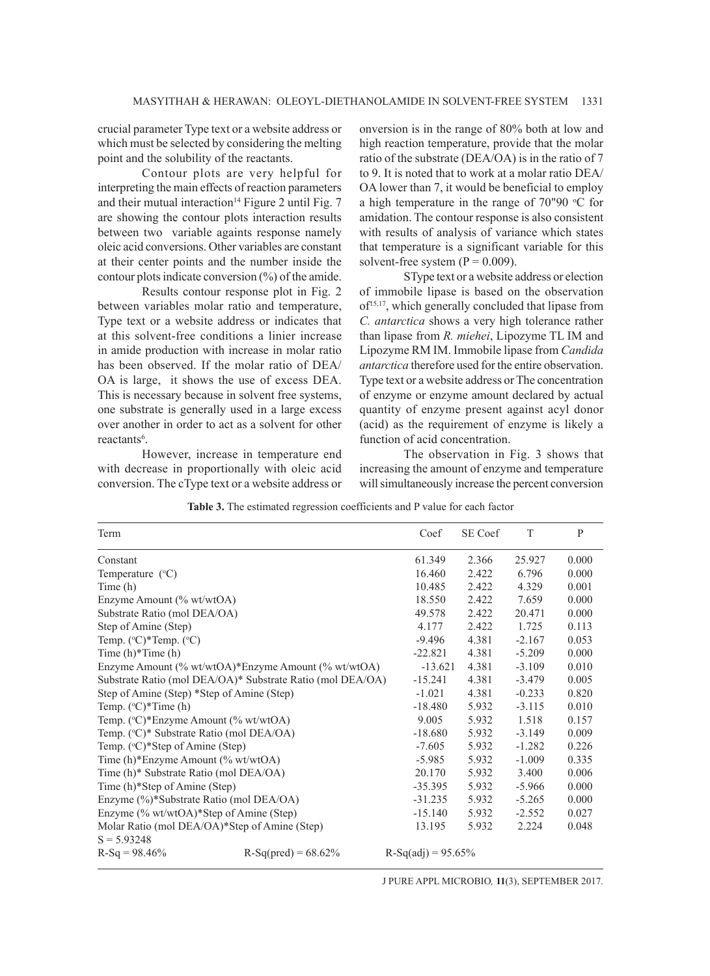crucial parameter Type text or a website address or which must be selected by considering the melting point and the solubility of the reactants.

Contour plots are very helpful for interpreting the main effects of reaction parameters and their mutual interaction<sup>14</sup> Figure 2 until Fig. 7 are showing the contour plots interaction results between two variable againts response namely oleic acid conversions. Other variables are constant at their center points and the number inside the contour plots indicate conversion (%) of the amide.

Results contour response plot in Fig. 2 between variables molar ratio and temperature, Type text or a website address or indicates that at this solvent-free conditions a linier increase in amide production with increase in molar ratio has been observed. If the molar ratio of DEA/ OA is large, it shows the use of excess DEA. This is necessary because in solvent free systems, one substrate is generally used in a large excess over another in order to act as a solvent for other reactants<sup>6</sup>.

However, increase in temperature end with decrease in proportionally with oleic acid conversion. The cType text or a website address or

onversion is in the range of 80% both at low and high reaction temperature, provide that the molar ratio of the substrate (DEA/OA) is in the ratio of 7 to 9. It is noted that to work at a molar ratio DEA/ OA lower than 7, it would be beneficial to employ a high temperature in the range of  $70"90 °C$  for amidation. The contour response is also consistent with results of analysis of variance which states that temperature is a significant variable for this solvent-free system  $(P = 0.009)$ .

SType text or a website address or election of immobile lipase is based on the observation  $of$ <sup>15,17</sup>, which generally concluded that lipase from *C. antarctica* shows a very high tolerance rather than lipase from *R. miehei*, Lipozyme TL IM and Lipozyme RM IM. Immobile lipase from *Candida antarctica* therefore used for the entire observation. Type text or a website address or The concentration of enzyme or enzyme amount declared by actual quantity of enzyme present against acyl donor (acid) as the requirement of enzyme is likely a function of acid concentration.

The observation in Fig. 3 shows that increasing the amount of enzyme and temperature will simultaneously increase the percent conversion

**Table 3.** The estimated regression coefficients and P value for each factor

| Term                                          |                                                            | Coef                 | SE Coef  | T        | P     |
|-----------------------------------------------|------------------------------------------------------------|----------------------|----------|----------|-------|
| Constant                                      |                                                            | 61.349               | 2.366    | 25.927   | 0.000 |
| Temperature $(^{\circ}C)$                     |                                                            | 16.460               | 2.422    | 6.796    | 0.000 |
| Time (h)                                      |                                                            | 10.485               | 2.422    | 4.329    | 0.001 |
| Enzyme Amount (% wt/wtOA)                     |                                                            | 18.550               | 2.422    | 7.659    | 0.000 |
| Substrate Ratio (mol DEA/OA)                  |                                                            | 49.578               | 2.422    | 20.471   | 0.000 |
| Step of Amine (Step)                          |                                                            | 4.177                | 2.422    | 1.725    | 0.113 |
| Temp. $({}^{\circ}C)^*$ Temp. $({}^{\circ}C)$ |                                                            | $-9.496$             | 4.381    | $-2.167$ | 0.053 |
| Time $(h)$ <sup>*</sup> Time $(h)$            |                                                            | $-22.821$            | 4.381    | $-5.209$ | 0.000 |
|                                               | Enzyme Amount (% wt/wtOA)*Enzyme Amount (% wt/wtOA)        | $-13.621$            | 4.381    | $-3.109$ | 0.010 |
|                                               | Substrate Ratio (mol DEA/OA)* Substrate Ratio (mol DEA/OA) | $-15.241$            | 4.381    | $-3.479$ | 0.005 |
| Step of Amine (Step) *Step of Amine (Step)    |                                                            | $-1.021$             | 4.381    | $-0.233$ | 0.820 |
| Temp. $(^{\circ}C)*Time(h)$                   |                                                            | $-18.480$            | 5.932    | $-3.115$ | 0.010 |
| Temp. (°C)*Enzyme Amount (% wt/wtOA)          |                                                            | 9.005                | 5.932    | 1.518    | 0.157 |
| Temp. (°C)* Substrate Ratio (mol DEA/OA)      |                                                            | $-18.680$            | 5.932    | $-3.149$ | 0.009 |
| Temp. $({}^{\circ}C)^*$ Step of Amine (Step)  |                                                            | $-7.605$             | 5.932    | $-1.282$ | 0.226 |
| Time (h)*Enzyme Amount (% wt/wtOA)            | $-5.985$                                                   | 5.932                | $-1.009$ | 0.335    |       |
| Time (h)* Substrate Ratio (mol DEA/OA)        | 20.170                                                     | 5.932                | 3.400    | 0.006    |       |
| Time (h)*Step of Amine (Step)                 | $-35.395$                                                  | 5.932                | $-5.966$ | 0.000    |       |
| Enzyme (%)*Substrate Ratio (mol DEA/OA)       | $-31.235$                                                  | 5.932                | $-5.265$ | 0.000    |       |
| Enzyme (% wt/wtOA)*Step of Amine (Step)       | $-15.140$                                                  | 5.932                | $-2.552$ | 0.027    |       |
| Molar Ratio (mol DEA/OA)*Step of Amine (Step) | 13.195                                                     | 5.932                | 2.224    | 0.048    |       |
| $S = 5.93248$                                 |                                                            |                      |          |          |       |
| $R-Sq = 98.46\%$                              | $R-Sq(pred) = 68.62%$                                      | $R-Sq(adj) = 95.65%$ |          |          |       |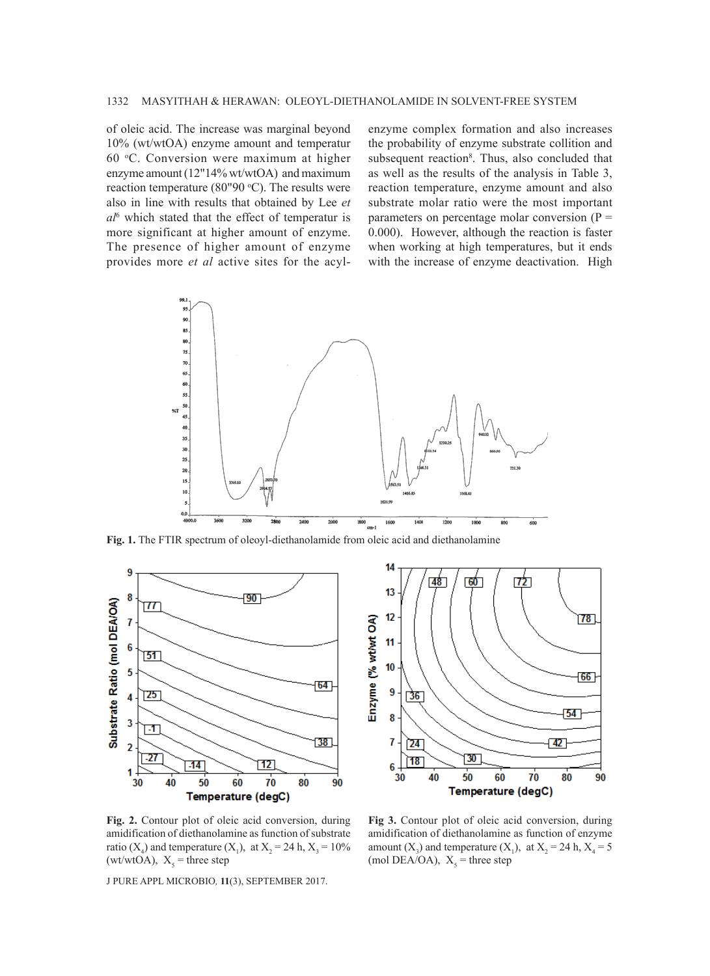of oleic acid. The increase was marginal beyond 10% (wt/wtOA) enzyme amount and temperatur 60 o C. Conversion were maximum at higher enzyme amount (12"14% wt/wtOA) and maximum reaction temperature (80"90  $°C$ ). The results were also in line with results that obtained by Lee *et al*<sup>6</sup> which stated that the effect of temperatur is more significant at higher amount of enzyme. The presence of higher amount of enzyme provides more *et al* active sites for the acyl-

enzyme complex formation and also increases the probability of enzyme substrate collition and subsequent reaction<sup>8</sup>. Thus, also concluded that as well as the results of the analysis in Table 3, reaction temperature, enzyme amount and also substrate molar ratio were the most important parameters on percentage molar conversion  $(P =$ 0.000). However, although the reaction is faster when working at high temperatures, but it ends with the increase of enzyme deactivation. High



**Fig. 1.** The FTIR spectrum of oleoyl-diethanolamide from oleic acid and diethanolamine





**Fig. 2.** Contour plot of oleic acid conversion, during amidification of diethanolamine as function of substrate ratio (X<sub>4</sub>) and temperature (X<sub>1</sub>), at X<sub>2</sub> = 24 h, X<sub>3</sub> = 10%  $(wt/wtOA)$ ,  $X_5$  = three step

**Fig 3.** Contour plot of oleic acid conversion, during amidification of diethanolamine as function of enzyme amount  $(X_3)$  and temperature  $(X_1)$ , at  $X_2 = 24$  h,  $X_4 = 5$ (mol DEA/OA),  $X_5$  = three step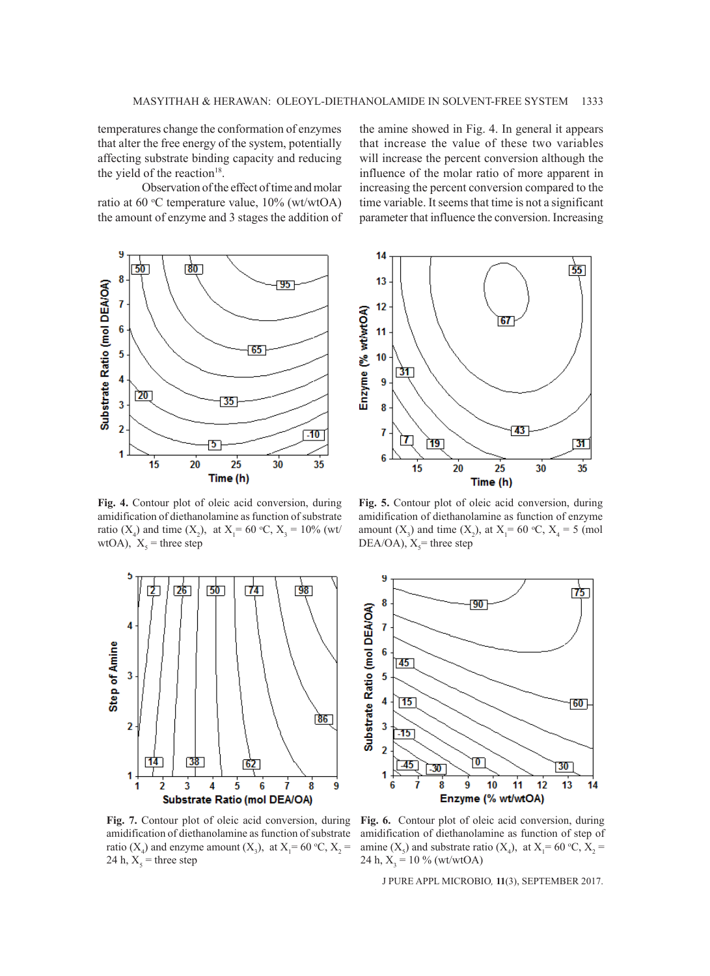temperatures change the conformation of enzymes that alter the free energy of the system, potentially affecting substrate binding capacity and reducing the yield of the reaction $18$ .

Observation of the effect of time and molar ratio at 60 °C temperature value,  $10\%$  (wt/wtOA) the amount of enzyme and 3 stages the addition of



**Fig. 4.** Contour plot of oleic acid conversion, during amidification of diethanolamine as function of substrate ratio  $(X_4)$  and time  $(X_2)$ , at  $X_1 = 60 \degree \text{C}, X_3 = 10\%$  (wt/ wtOA),  $X_5$  = three step



**Fig. 7.** Contour plot of oleic acid conversion, during amidification of diethanolamine as function of substrate ratio ( $X_4$ ) and enzyme amount ( $X_3$ ), at  $X_1 = 60$  °C,  $X_2 =$ 24 h,  $X_5$  = three step

the amine showed in Fig. 4. In general it appears that increase the value of these two variables will increase the percent conversion although the influence of the molar ratio of more apparent in increasing the percent conversion compared to the time variable. It seems that time is not a significant parameter that influence the conversion. Increasing



**Fig. 5.** Contour plot of oleic acid conversion, during amidification of diethanolamine as function of enzyme amount  $(X_3)$  and time  $(X_2)$ , at  $X_1 = 60$  °C,  $X_4 = 5$  (mol  $DEA/OA$ ),  $X<sub>5</sub>$  = three step



**Fig. 6.** Contour plot of oleic acid conversion, during amidification of diethanolamine as function of step of amine  $(X_5)$  and substrate ratio  $(X_4)$ , at  $X_1 = 60 \degree \text{C}, X_2 =$ 24 h,  $X_3 = 10\%$  (wt/wtOA)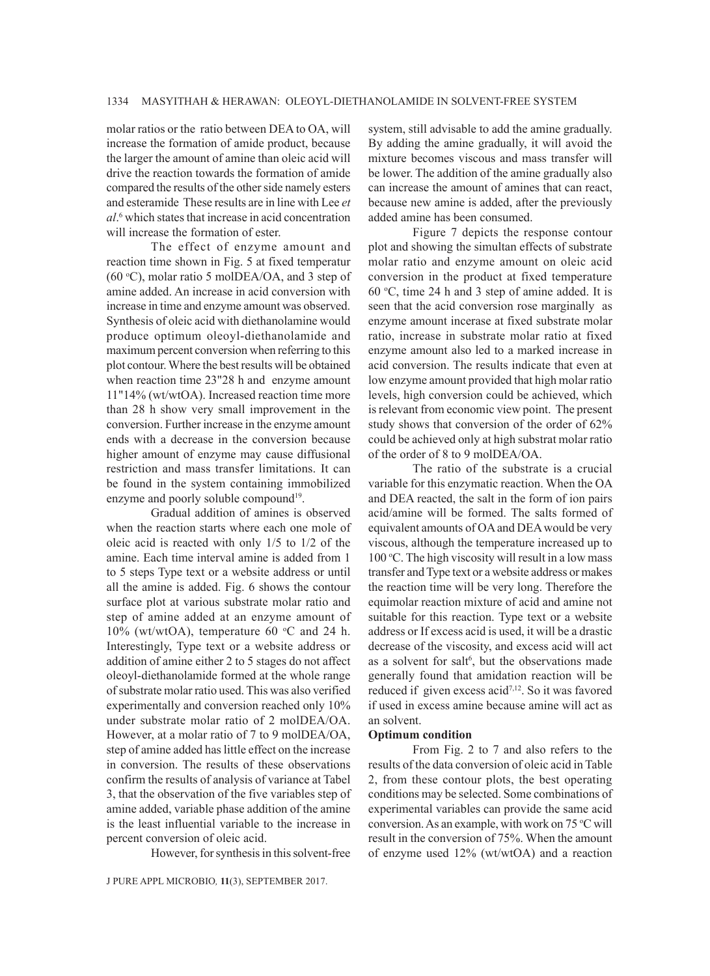molar ratios or the ratio between DEA to OA, will increase the formation of amide product, because the larger the amount of amine than oleic acid will drive the reaction towards the formation of amide compared the results of the other side namely esters and esteramide These results are in line with Lee *et al*. 6 which states that increase in acid concentration will increase the formation of ester.

The effect of enzyme amount and reaction time shown in Fig. 5 at fixed temperatur  $(60 °C)$ , molar ratio 5 molDEA/OA, and 3 step of amine added. An increase in acid conversion with increase in time and enzyme amount was observed. Synthesis of oleic acid with diethanolamine would produce optimum oleoyl-diethanolamide and maximum percent conversion when referring to this plot contour. Where the best results will be obtained when reaction time 23"28 h and enzyme amount 11"14% (wt/wtOA). Increased reaction time more than 28 h show very small improvement in the conversion. Further increase in the enzyme amount ends with a decrease in the conversion because higher amount of enzyme may cause diffusional restriction and mass transfer limitations. It can be found in the system containing immobilized enzyme and poorly soluble compound<sup>19</sup>.

Gradual addition of amines is observed when the reaction starts where each one mole of oleic acid is reacted with only 1/5 to 1/2 of the amine. Each time interval amine is added from 1 to 5 steps Type text or a website address or until all the amine is added. Fig. 6 shows the contour surface plot at various substrate molar ratio and step of amine added at an enzyme amount of 10% (wt/wtOA), temperature 60  $\degree$ C and 24 h. Interestingly, Type text or a website address or addition of amine either 2 to 5 stages do not affect oleoyl-diethanolamide formed at the whole range of substrate molar ratio used. This was also verified experimentally and conversion reached only 10% under substrate molar ratio of 2 molDEA/OA. However, at a molar ratio of 7 to 9 molDEA/OA, step of amine added has little effect on the increase in conversion. The results of these observations confirm the results of analysis of variance at Tabel 3, that the observation of the five variables step of amine added, variable phase addition of the amine is the least influential variable to the increase in percent conversion of oleic acid.

However, for synthesis in this solvent-free

J PURE APPL MICROBIO*,* **11**(3), SEPTEMBER 2017.

system, still advisable to add the amine gradually. By adding the amine gradually, it will avoid the mixture becomes viscous and mass transfer will be lower. The addition of the amine gradually also can increase the amount of amines that can react, because new amine is added, after the previously added amine has been consumed.

Figure 7 depicts the response contour plot and showing the simultan effects of substrate molar ratio and enzyme amount on oleic acid conversion in the product at fixed temperature  $60 °C$ , time 24 h and 3 step of amine added. It is seen that the acid conversion rose marginally as enzyme amount incerase at fixed substrate molar ratio, increase in substrate molar ratio at fixed enzyme amount also led to a marked increase in acid conversion. The results indicate that even at low enzyme amount provided that high molar ratio levels, high conversion could be achieved, which is relevant from economic view point. The present study shows that conversion of the order of 62% could be achieved only at high substrat molar ratio of the order of 8 to 9 molDEA/OA.

The ratio of the substrate is a crucial variable for this enzymatic reaction. When the OA and DEA reacted, the salt in the form of ion pairs acid/amine will be formed. The salts formed of equivalent amounts of OA and DEA would be very viscous, although the temperature increased up to 100 °C. The high viscosity will result in a low mass transfer and Type text or a website address or makes the reaction time will be very long. Therefore the equimolar reaction mixture of acid and amine not suitable for this reaction. Type text or a website address or If excess acid is used, it will be a drastic decrease of the viscosity, and excess acid will act as a solvent for salt<sup>6</sup>, but the observations made generally found that amidation reaction will be reduced if given excess acid7,12. So it was favored if used in excess amine because amine will act as an solvent.

#### **Optimum condition**

From Fig. 2 to 7 and also refers to the results of the data conversion of oleic acid in Table 2, from these contour plots, the best operating conditions may be selected. Some combinations of experimental variables can provide the same acid conversion. As an example, with work on  $75^{\circ}$ C will result in the conversion of 75%. When the amount of enzyme used 12% (wt/wtOA) and a reaction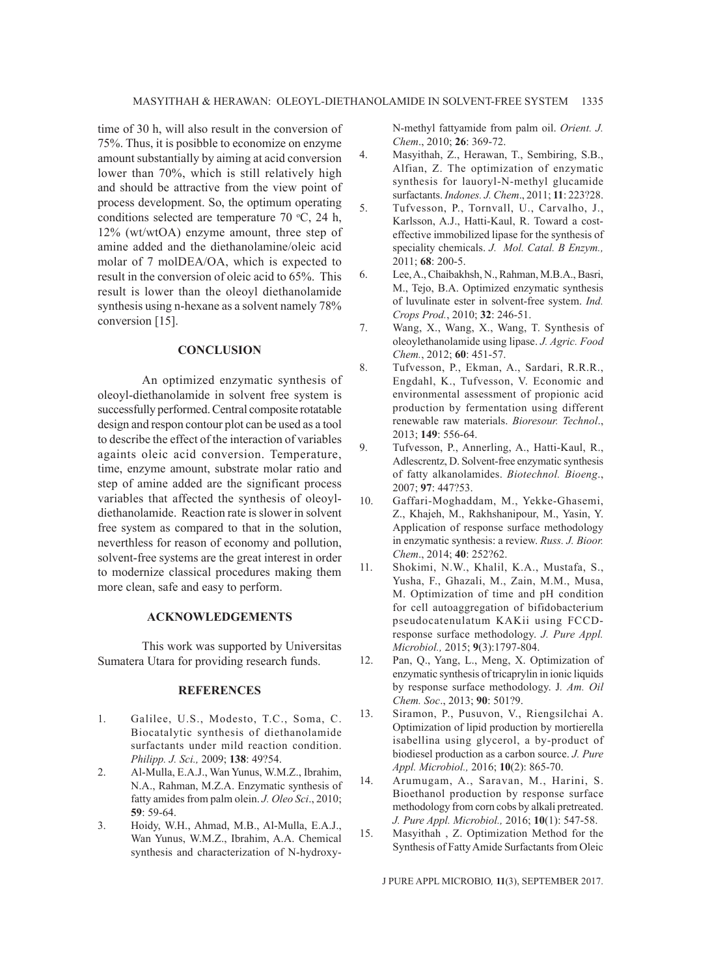time of 30 h, will also result in the conversion of 75%. Thus, it is posibble to economize on enzyme amount substantially by aiming at acid conversion lower than 70%, which is still relatively high and should be attractive from the view point of process development. So, the optimum operating conditions selected are temperature  $70 \text{ °C}$ ,  $24 \text{ h}$ , 12% (wt/wtOA) enzyme amount, three step of amine added and the diethanolamine/oleic acid molar of 7 molDEA/OA, which is expected to result in the conversion of oleic acid to 65%. This result is lower than the oleoyl diethanolamide synthesis using n-hexane as a solvent namely 78% conversion [15].

#### **CONCLUSION**

An optimized enzymatic synthesis of oleoyl-diethanolamide in solvent free system is successfully performed. Central composite rotatable design and respon contour plot can be used as a tool to describe the effect of the interaction of variables againts oleic acid conversion. Temperature, time, enzyme amount, substrate molar ratio and step of amine added are the significant process variables that affected the synthesis of oleoyldiethanolamide. Reaction rate is slower in solvent free system as compared to that in the solution, neverthless for reason of economy and pollution, solvent-free systems are the great interest in order to modernize classical procedures making them more clean, safe and easy to perform.

### **ACKNOWLEDGEMENTS**

This work was supported by Universitas Sumatera Utara for providing research funds.

### **REFERENCES**

- 1. Galilee, U.S., Modesto, T.C., Soma, C. Biocatalytic synthesis of diethanolamide surfactants under mild reaction condition. *Philipp. J. Sci.,* 2009; **138**: 49?54.
- 2. Al-Mulla, E.A.J., Wan Yunus, W.M.Z., Ibrahim, N.A., Rahman, M.Z.A. Enzymatic synthesis of fatty amides from palm olein. *J. Oleo Sci*., 2010; **59**: 59-64.
- 3. Hoidy, W.H., Ahmad, M.B., Al-Mulla, E.A.J., Wan Yunus, W.M.Z., Ibrahim, A.A. Chemical synthesis and characterization of N-hydroxy-

N-methyl fattyamide from palm oil. *Orient. J. Chem*., 2010; **26**: 369-72.

- 4. Masyithah, Z., Herawan, T., Sembiring, S.B., Alfian, Z. The optimization of enzymatic synthesis for lauoryl-N-methyl glucamide surfactants. *Indones. J. Chem*., 2011; **11**: 223?28.
- 5. Tufvesson, P., Tornvall, U., Carvalho, J., Karlsson, A.J., Hatti-Kaul, R. Toward a costeffective immobilized lipase for the synthesis of speciality chemicals. *J. Mol. Catal. B Enzym.,*  2011; **68**: 200-5.
- 6. Lee, A., Chaibakhsh, N., Rahman, M.B.A., Basri, M., Tejo, B.A. Optimized enzymatic synthesis of luvulinate ester in solvent-free system. *Ind. Crops Prod.*, 2010; **32**: 246-51.
- 7. Wang, X., Wang, X., Wang, T. Synthesis of oleoylethanolamide using lipase. *J. Agric. Food Chem.*, 2012; **60**: 451-57.
- 8. Tufvesson, P., Ekman, A., Sardari, R.R.R., Engdahl, K., Tufvesson, V. Economic and environmental assessment of propionic acid production by fermentation using different renewable raw materials. *Bioresour. Technol*., 2013; **149**: 556-64.
- 9. Tufvesson, P., Annerling, A., Hatti-Kaul, R., Adlescrentz, D. Solvent-free enzymatic synthesis of fatty alkanolamides. *Biotechnol. Bioeng*., 2007; **97**: 447?53.
- 10. Gaffari-Moghaddam, M., Yekke-Ghasemi, Z., Khajeh, M., Rakhshanipour, M., Yasin, Y. Application of response surface methodology in enzymatic synthesis: a review. *Russ. J. Bioor. Chem*., 2014; **40**: 252?62.
- 11. Shokimi, N.W., Khalil, K.A., Mustafa, S., Yusha, F., Ghazali, M., Zain, M.M., Musa, M. Optimization of time and pH condition for cell autoaggregation of bifidobacterium pseudocatenulatum KAKii using FCCDresponse surface methodology. *J. Pure Appl. Microbiol.,* 2015; **9**(3):1797-804.
- 12. Pan, Q., Yang, L., Meng, X. Optimization of enzymatic synthesis of tricaprylin in ionic liquids by response surface methodology. J*. Am. Oil Chem. Soc*., 2013; **90**: 501?9.
- 13. Siramon, P., Pusuvon, V., Riengsilchai A. Optimization of lipid production by mortierella isabellina using glycerol, a by-product of biodiesel production as a carbon source. *J. Pure Appl. Microbiol.,* 2016; **10**(2): 865-70.
- 14. Arumugam, A., Saravan, M., Harini, S. Bioethanol production by response surface methodology from corn cobs by alkali pretreated. *J. Pure Appl. Microbiol.,* 2016; **10**(1): 547-58.
- 15. Masyithah , Z. Optimization Method for the Synthesis of Fatty Amide Surfactants from Oleic